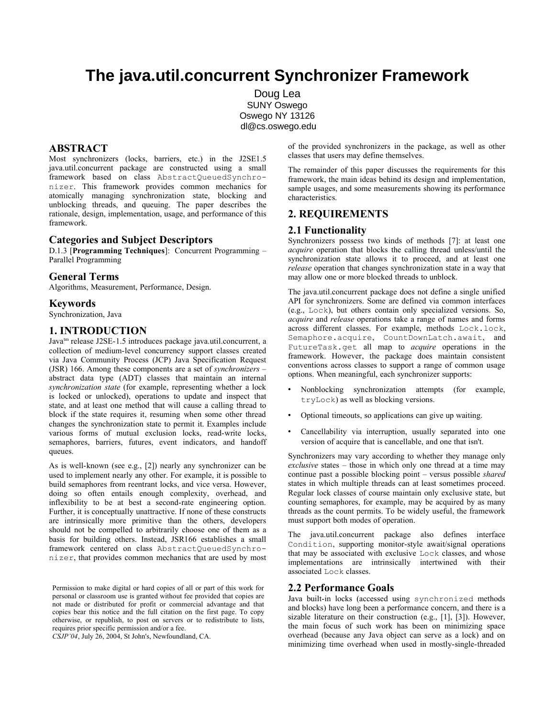# **The java.util.concurrent Synchronizer Framework**

Doug Lea SUNY Oswego Oswego NY 13126 dl@cs.oswego.edu

#### **ABSTRACT**

Most synchronizers (locks, barriers, etc.) in the J2SE1.5 java.util.concurrent package are constructed using a small framework based on class AbstractQueuedSynchronizer. This framework provides common mechanics for atomically managing synchronization state, blocking and unblocking threads, and queuing. The paper describes the rationale, design, implementation, usage, and performance of this framework.

#### **Categories and Subject Descriptors**

D.1.3 [**Programming Techniques**]: Concurrent Programming – Parallel Programming

#### **General Terms**

Algorithms, Measurement, Performance, Design.

#### **Keywords**

Synchronization, Java

#### **1. INTRODUCTION**

Java<sup>tm</sup> release J2SE-1.5 introduces package java.util.concurrent, a collection of medium-level concurrency support classes created via Java Community Process (JCP) Java Specification Request (JSR) 166. Among these components are a set of *synchronizers* – abstract data type (ADT) classes that maintain an internal *synchronization state* (for example, representing whether a lock is locked or unlocked), operations to update and inspect that state, and at least one method that will cause a calling thread to block if the state requires it, resuming when some other thread changes the synchronization state to permit it. Examples include various forms of mutual exclusion locks, read-write locks, semaphores, barriers, futures, event indicators, and handoff queues.

As is well-known (see e.g., [2]) nearly any synchronizer can be used to implement nearly any other. For example, it is possible to build semaphores from reentrant locks, and vice versa. However, doing so often entails enough complexity, overhead, and inflexibility to be at best a second-rate engineering option. Further, it is conceptually unattractive. If none of these constructs are intrinsically more primitive than the others, developers should not be compelled to arbitrarily choose one of them as a basis for building others. Instead, JSR166 establishes a small framework centered on class AbstractOueuedSynchronizer, that provides common mechanics that are used by most

Permission to make digital or hard copies of all or part of this work for personal or classroom use is granted without fee provided that copies are not made or distributed for profit or commercial advantage and that copies bear this notice and the full citation on the first page. To copy otherwise, or republish, to post on servers or to redistribute to lists, requires prior specific permission and/or a fee.

*CSJP'04*, July 26, 2004, St John's, Newfoundland, CA.

of the provided synchronizers in the package, as well as other classes that users may define themselves.

The remainder of this paper discusses the requirements for this framework, the main ideas behind its design and implementation, sample usages, and some measurements showing its performance characteristics.

## **2. REQUIREMENTS**

#### **2.1 Functionality**

Synchronizers possess two kinds of methods [7]: at least one *acquire* operation that blocks the calling thread unless/until the synchronization state allows it to proceed, and at least one *release* operation that changes synchronization state in a way that may allow one or more blocked threads to unblock.

The java.util.concurrent package does not define a single unified API for synchronizers. Some are defined via common interfaces (e.g., Lock), but others contain only specialized versions. So, *acquire* and *release* operations take a range of names and forms across different classes. For example, methods Lock.lock, Semaphore.acquire, CountDownLatch.await, and FutureTask.get all map to *acquire* operations in the framework. However, the package does maintain consistent conventions across classes to support a range of common usage options. When meaningful, each synchronizer supports:

- Nonblocking synchronization attempts (for example, tryLock) as well as blocking versions.
- Optional timeouts, so applications can give up waiting.
- Cancellability via interruption, usually separated into one version of acquire that is cancellable, and one that isn't.

Synchronizers may vary according to whether they manage only *exclusive* states – those in which only one thread at a time may continue past a possible blocking point – versus possible *shared* states in which multiple threads can at least sometimes proceed. Regular lock classes of course maintain only exclusive state, but counting semaphores, for example, may be acquired by as many threads as the count permits. To be widely useful, the framework must support both modes of operation.

The java.util.concurrent package also defines interface Condition, supporting monitor-style await/signal operations that may be associated with exclusive Lock classes, and whose implementations are intrinsically intertwined with their associated Lock classes.

#### **2.2 Performance Goals**

Java built-in locks (accessed using synchronized methods and blocks) have long been a performance concern, and there is a sizable literature on their construction (e.g., [1], [3]). However, the main focus of such work has been on minimizing space overhead (because any Java object can serve as a lock) and on minimizing time overhead when used in mostly-single-threaded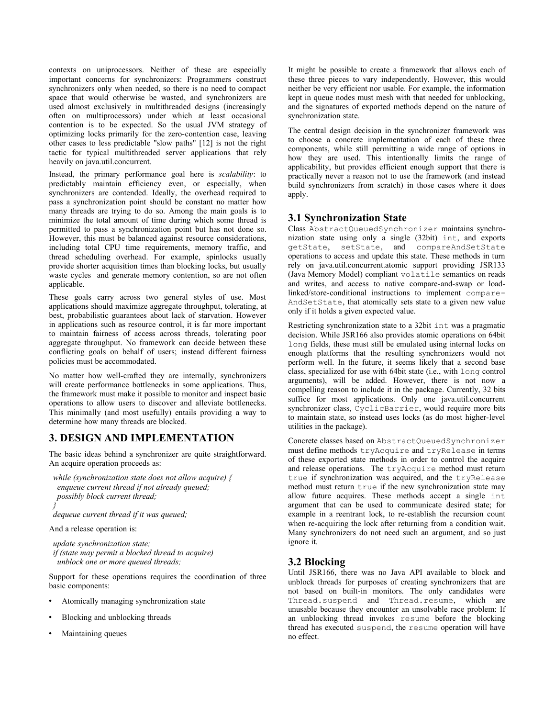contexts on uniprocessors. Neither of these are especially important concerns for synchronizers: Programmers construct synchronizers only when needed, so there is no need to compact space that would otherwise be wasted, and synchronizers are used almost exclusively in multithreaded designs (increasingly often on multiprocessors) under which at least occasional contention is to be expected. So the usual JVM strategy of optimizing locks primarily for the zero-contention case, leaving other cases to less predictable "slow paths" [12] is not the right tactic for typical multithreaded server applications that rely heavily on java.util.concurrent.

Instead, the primary performance goal here is *scalability*: to predictably maintain efficiency even, or especially, when synchronizers are contended. Ideally, the overhead required to pass a synchronization point should be constant no matter how many threads are trying to do so. Among the main goals is to minimize the total amount of time during which some thread is permitted to pass a synchronization point but has not done so. However, this must be balanced against resource considerations, including total CPU time requirements, memory traffic, and thread scheduling overhead. For example, spinlocks usually provide shorter acquisition times than blocking locks, but usually waste cycles and generate memory contention, so are not often applicable.

These goals carry across two general styles of use. Most applications should maximize aggregate throughput, tolerating, at best, probabilistic guarantees about lack of starvation. However in applications such as resource control, it is far more important to maintain fairness of access across threads, tolerating poor aggregate throughput. No framework can decide between these conflicting goals on behalf of users; instead different fairness policies must be accommodated.

No matter how well-crafted they are internally, synchronizers will create performance bottlenecks in some applications. Thus, the framework must make it possible to monitor and inspect basic operations to allow users to discover and alleviate bottlenecks. This minimally (and most usefully) entails providing a way to determine how many threads are blocked.

# **3. DESIGN AND IMPLEMENTATION**

The basic ideas behind a synchronizer are quite straightforward. An acquire operation proceeds as:

*while (synchronization state does not allow acquire) { enqueue current thread if not already queued; possibly block current thread; }*

*dequeue current thread if it was queued;*

And a release operation is:

*update synchronization state; if (state may permit a blocked thread to acquire) unblock one or more queued threads;*

Support for these operations requires the coordination of three basic components:

- Atomically managing synchronization state
- Blocking and unblocking threads
- Maintaining queues

It might be possible to create a framework that allows each of these three pieces to vary independently. However, this would neither be very efficient nor usable. For example, the information kept in queue nodes must mesh with that needed for unblocking, and the signatures of exported methods depend on the nature of synchronization state.

The central design decision in the synchronizer framework was to choose a concrete implementation of each of these three components, while still permitting a wide range of options in how they are used. This intentionally limits the range of applicability, but provides efficient enough support that there is practically never a reason not to use the framework (and instead build synchronizers from scratch) in those cases where it does apply.

# **3.1 Synchronization State**

Class AbstractQueuedSynchronizer maintains synchronization state using only a single (32bit) int, and exports getState, setState, and compareAndSetState operations to access and update this state. These methods in turn rely on java.util.concurrent.atomic support providing JSR133 (Java Memory Model) compliant volatile semantics on reads and writes, and access to native compare-and-swap or loadlinked/store-conditional instructions to implement compare-AndSetState, that atomically sets state to a given new value only if it holds a given expected value.

Restricting synchronization state to a 32bit int was a pragmatic decision. While JSR166 also provides atomic operations on 64bit long fields, these must still be emulated using internal locks on enough platforms that the resulting synchronizers would not perform well. In the future, it seems likely that a second base class, specialized for use with  $64$ bit state (i.e., with  $1 \circ a$  control arguments), will be added. However, there is not now a compelling reason to include it in the package. Currently, 32 bits suffice for most applications. Only one java.util.concurrent synchronizer class, CyclicBarrier, would require more bits to maintain state, so instead uses locks (as do most higher-level utilities in the package).

Concrete classes based on AbstractQueuedSynchronizer must define methods tryAcquire and tryRelease in terms of these exported state methods in order to control the acquire and release operations. The tryAcquire method must return true if synchronization was acquired, and the tryRelease method must return true if the new synchronization state may allow future acquires. These methods accept a single int argument that can be used to communicate desired state; for example in a reentrant lock, to re-establish the recursion count when re-acquiring the lock after returning from a condition wait. Many synchronizers do not need such an argument, and so just ignore it.

# **3.2 Blocking**

Until JSR166, there was no Java API available to block and unblock threads for purposes of creating synchronizers that are not based on built-in monitors. The only candidates were Thread.suspend and Thread.resume, which are unusable because they encounter an unsolvable race problem: If an unblocking thread invokes resume before the blocking thread has executed suspend, the resume operation will have no effect.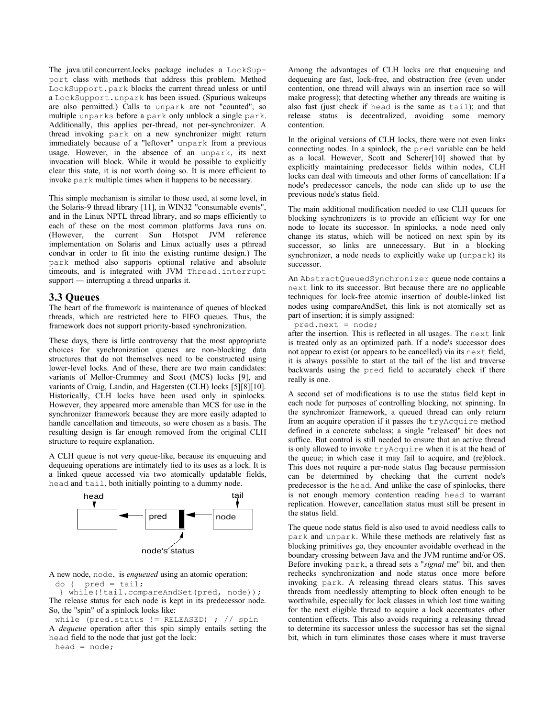The java.util.concurrent.locks package includes a LockSupport class with methods that address this problem. Method LockSupport.park blocks the current thread unless or until a LockSupport.unpark has been issued. (Spurious wakeups are also permitted.) Calls to unpark are not "counted", so multiple unparks before a park only unblock a single park. Additionally, this applies per-thread, not per-synchronizer. A thread invoking park on a new synchronizer might return immediately because of a "leftover" unpark from a previous usage. However, in the absence of an unpark, its next invocation will block. While it would be possible to explicitly clear this state, it is not worth doing so. It is more efficient to invoke park multiple times when it happens to be necessary.

This simple mechanism is similar to those used, at some level, in the Solaris-9 thread library [11], in WIN32 "consumable events", and in the Linux NPTL thread library, and so maps efficiently to each of these on the most common platforms Java runs on. (However, the current Sun Hotspot JVM reference implementation on Solaris and Linux actually uses a pthread condvar in order to fit into the existing runtime design.) The park method also supports optional relative and absolute timeouts, and is integrated with JVM Thread.interrupt support — interrupting a thread unparks it.

#### **3.3 Queues**

The heart of the framework is maintenance of queues of blocked threads, which are restricted here to FIFO queues. Thus, the framework does not support priority-based synchronization.

These days, there is little controversy that the most appropriate choices for synchronization queues are non-blocking data structures that do not themselves need to be constructed using lower-level locks. And of these, there are two main candidates: variants of Mellor-Crummey and Scott (MCS) locks [9], and variants of Craig, Landin, and Hagersten (CLH) locks [5][8][10]. Historically, CLH locks have been used only in spinlocks. However, they appeared more amenable than MCS for use in the synchronizer framework because they are more easily adapted to handle cancellation and timeouts, so were chosen as a basis. The resulting design is far enough removed from the original CLH structure to require explanation.

A CLH queue is not very queue-like, because its enqueuing and dequeuing operations are intimately tied to its uses as a lock. It is a linked queue accessed via two atomically updatable fields, head and tail, both initially pointing to a dummy node.



A new node, node, is *enqueued* using an atomic operation:  $d$ o { pred = tail;

} while(!tail.compareAndSet(pred, node)); The release status for each node is kept in its predecessor node. So, the "spin" of a spinlock looks like:

while (pred.status !=  $RELEASED$ ) ; // spin A *dequeue* operation after this spin simply entails setting the head field to the node that just got the lock:

head =  $node$ ;

Among the advantages of CLH locks are that enqueuing and dequeuing are fast, lock-free, and obstruction free (even under contention, one thread will always win an insertion race so will make progress); that detecting whether any threads are waiting is also fast (just check if head is the same as tail); and that release status is decentralized, avoiding some memory contention.

In the original versions of CLH locks, there were not even links connecting nodes. In a spinlock, the pred variable can be held as a local. However, Scott and Scherer[10] showed that by explicitly maintaining predecessor fields within nodes, CLH locks can deal with timeouts and other forms of cancellation: If a node's predecessor cancels, the node can slide up to use the previous node's status field.

The main additional modification needed to use CLH queues for blocking synchronizers is to provide an efficient way for one node to locate its successor. In spinlocks, a node need only change its status, which will be noticed on next spin by its successor, so links are unnecessary. But in a blocking synchronizer, a node needs to explicitly wake up (unpark) its successor.

An AbstractQueuedSynchronizer queue node contains a next link to its successor. But because there are no applicable techniques for lock-free atomic insertion of double-linked list nodes using compareAndSet, this link is not atomically set as part of insertion; it is simply assigned:

pred.next = node;

after the insertion. This is reflected in all usages. The next link is treated only as an optimized path. If a node's successor does not appear to exist (or appears to be cancelled) via its next field, it is always possible to start at the tail of the list and traverse backwards using the pred field to accurately check if there really is one.

A second set of modifications is to use the status field kept in each node for purposes of controlling blocking, not spinning. In the synchronizer framework, a queued thread can only return from an acquire operation if it passes the tryAcquire method defined in a concrete subclass; a single "released" bit does not suffice. But control is still needed to ensure that an active thread is only allowed to invoke tryAcquire when it is at the head of the queue; in which case it may fail to acquire, and (re)block. This does not require a per-node status flag because permission can be determined by checking that the current node's predecessor is the head. And unlike the case of spinlocks, there is not enough memory contention reading head to warrant replication. However, cancellation status must still be present in the status field.

The queue node status field is also used to avoid needless calls to park and unpark. While these methods are relatively fast as blocking primitives go, they encounter avoidable overhead in the boundary crossing between Java and the JVM runtime and/or OS. Before invoking park, a thread sets a "*signal* me" bit, and then rechecks synchronization and node status once more before invoking park. A releasing thread clears status. This saves threads from needlessly attempting to block often enough to be worthwhile, especially for lock classes in which lost time waiting for the next eligible thread to acquire a lock accentuates other contention effects. This also avoids requiring a releasing thread to determine its successor unless the successor has set the signal bit, which in turn eliminates those cases where it must traverse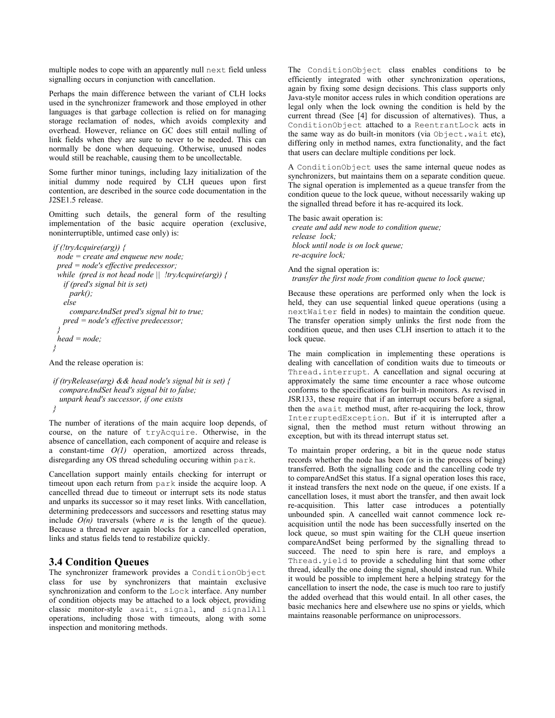multiple nodes to cope with an apparently null next field unless signalling occurs in conjunction with cancellation.

Perhaps the main difference between the variant of CLH locks used in the synchronizer framework and those employed in other languages is that garbage collection is relied on for managing storage reclamation of nodes, which avoids complexity and overhead. However, reliance on GC does still entail nulling of link fields when they are sure to never to be needed. This can normally be done when dequeuing. Otherwise, unused nodes would still be reachable, causing them to be uncollectable.

Some further minor tunings, including lazy initialization of the initial dummy node required by CLH queues upon first contention, are described in the source code documentation in the J2SE1.5 release.

Omitting such details, the general form of the resulting implementation of the basic acquire operation (exclusive, noninterruptible, untimed case only) is:

```
if (!tryAcquire(arg)) {
node = create and enqueue new node;
 pred = node's effective predecessor;
 while (pred is not head node || !tryAcquire(arg)) {
   if (pred's signal bit is set)
    park();
   else
    compareAndSet pred's signal bit to true;
   pred = node's effective predecessor;
 }
 head = node;
}
```
And the release operation is:

```
if (tryRelease(arg) && head node's signal bit is set) {
 compareAndSet head's signal bit to false;
  unpark head's successor, if one exists
}
```
The number of iterations of the main acquire loop depends, of course, on the nature of tryAcquire. Otherwise, in the absence of cancellation, each component of acquire and release is a constant-time *O(1)* operation, amortized across threads, disregarding any OS thread scheduling occuring within park.

Cancellation support mainly entails checking for interrupt or timeout upon each return from park inside the acquire loop. A cancelled thread due to timeout or interrupt sets its node status and unparks its successor so it may reset links. With cancellation, determining predecessors and successors and resetting status may include  $O(n)$  traversals (where *n* is the length of the queue). Because a thread never again blocks for a cancelled operation, links and status fields tend to restabilize quickly.

# **3.4 Condition Queues**

The synchronizer framework provides a ConditionObject class for use by synchronizers that maintain exclusive synchronization and conform to the Lock interface. Any number of condition objects may be attached to a lock object, providing classic monitor-style await, signal, and signalAll operations, including those with timeouts, along with some inspection and monitoring methods.

The ConditionObject class enables conditions to be efficiently integrated with other synchronization operations, again by fixing some design decisions. This class supports only Java-style monitor access rules in which condition operations are legal only when the lock owning the condition is held by the current thread (See [4] for discussion of alternatives). Thus, a ConditionObject attached to a ReentrantLock acts in the same way as do built-in monitors (via Object.wait etc), differing only in method names, extra functionality, and the fact that users can declare multiple conditions per lock.

A ConditionObject uses the same internal queue nodes as synchronizers, but maintains them on a separate condition queue. The signal operation is implemented as a queue transfer from the condition queue to the lock queue, without necessarily waking up the signalled thread before it has re-acquired its lock.

The basic await operation is:  *create and add new node to condition queue; release lock; block until node is on lock queue; re-acquire lock;*

And the signal operation is:

*transfer the first node from condition queue to lock queue;*

Because these operations are performed only when the lock is held, they can use sequential linked queue operations (using a nextWaiter field in nodes) to maintain the condition queue. The transfer operation simply unlinks the first node from the condition queue, and then uses CLH insertion to attach it to the lock queue.

The main complication in implementing these operations is dealing with cancellation of condition waits due to timeouts or Thread.interrupt. A cancellation and signal occuring at approximately the same time encounter a race whose outcome conforms to the specifications for built-in monitors. As revised in JSR133, these require that if an interrupt occurs before a signal, then the await method must, after re-acquiring the lock, throw InterruptedException. But if it is interrupted after a signal, then the method must return without throwing an exception, but with its thread interrupt status set.

To maintain proper ordering, a bit in the queue node status records whether the node has been (or is in the process of being) transferred. Both the signalling code and the cancelling code try to compareAndSet this status. If a signal operation loses this race, it instead transfers the next node on the queue, if one exists. If a cancellation loses, it must abort the transfer, and then await lock re-acquisition. This latter case introduces a potentially unbounded spin. A cancelled wait cannot commence lock reacquisition until the node has been successfully inserted on the lock queue, so must spin waiting for the CLH queue insertion compareAndSet being performed by the signalling thread to succeed. The need to spin here is rare, and employs a Thread.yield to provide a scheduling hint that some other thread, ideally the one doing the signal, should instead run. While it would be possible to implement here a helping strategy for the cancellation to insert the node, the case is much too rare to justify the added overhead that this would entail. In all other cases, the basic mechanics here and elsewhere use no spins or yields, which maintains reasonable performance on uniprocessors.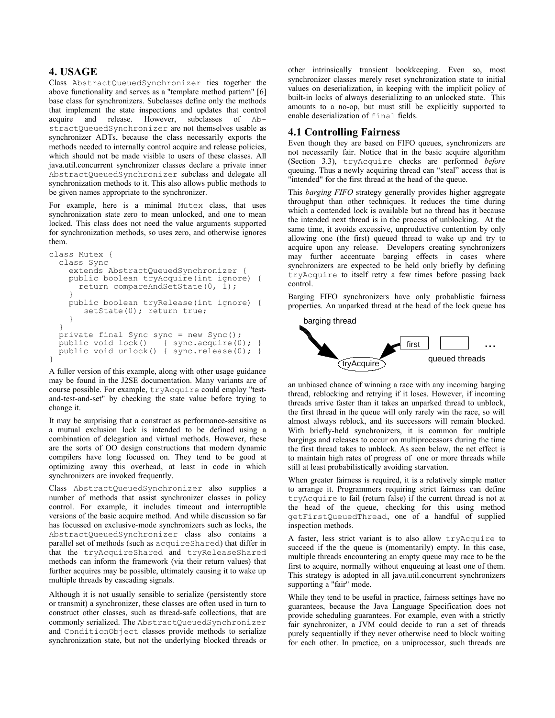## **4. USAGE**

Class AbstractQueuedSynchronizer ties together the above functionality and serves as a "template method pattern" [6] base class for synchronizers. Subclasses define only the methods that implement the state inspections and updates that control acquire and release. However, subclasses of AbstractQueuedSynchronizer are not themselves usable as synchronizer ADTs, because the class necessarily exports the methods needed to internally control acquire and release policies, which should not be made visible to users of these classes. All java.util.concurrent synchronizer classes declare a private inner AbstractQueuedSynchronizer subclass and delegate all synchronization methods to it. This also allows public methods to be given names appropriate to the synchronizer.

For example, here is a minimal Mutex class, that uses synchronization state zero to mean unlocked, and one to mean locked. This class does not need the value arguments supported for synchronization methods, so uses zero, and otherwise ignores them.

```
class Mutex {
  class Sync
     extends AbstractQueuedSynchronizer {
     public boolean tryAcquire(int ignore) {
        return compareAndSetState(0, 1);
    }
     public boolean tryRelease(int ignore) {
        setState(0); return true;
    }
  }
  private final Sync sync = new Sync();<br>public void lock() { sync.acquire(0
                         \frac{1}{2} sync.acquire(0);
  public void unlock() { sync.release(0); }
}
```
A fuller version of this example, along with other usage guidance may be found in the J2SE documentation. Many variants are of course possible. For example, tryAcquire could employ "testand-test-and-set" by checking the state value before trying to change it.

It may be surprising that a construct as performance-sensitive as a mutual exclusion lock is intended to be defined using a combination of delegation and virtual methods. However, these are the sorts of OO design constructions that modern dynamic compilers have long focussed on. They tend to be good at optimizing away this overhead, at least in code in which synchronizers are invoked frequently.

Class AbstractQueuedSynchronizer also supplies a number of methods that assist synchronizer classes in policy control. For example, it includes timeout and interruptible versions of the basic acquire method. And while discussion so far has focussed on exclusive-mode synchronizers such as locks, the AbstractQueuedSynchronizer class also contains a parallel set of methods (such as acquireShared) that differ in that the tryAcquireShared and tryReleaseShared methods can inform the framework (via their return values) that further acquires may be possible, ultimately causing it to wake up multiple threads by cascading signals.

Although it is not usually sensible to serialize (persistently store or transmit) a synchronizer, these classes are often used in turn to construct other classes, such as thread-safe collections, that are commonly serialized. The AbstractQueuedSynchronizer and ConditionObject classes provide methods to serialize synchronization state, but not the underlying blocked threads or

other intrinsically transient bookkeeping. Even so, most synchronizer classes merely reset synchronization state to initial values on deserialization, in keeping with the implicit policy of built-in locks of always deserializing to an unlocked state. This amounts to a no-op, but must still be explicitly supported to enable deserialization of final fields.

#### **4.1 Controlling Fairness**

Even though they are based on FIFO queues, synchronizers are not necessarily fair. Notice that in the basic acquire algorithm (Section 3.3), tryAcquire checks are performed *before* queuing. Thus a newly acquiring thread can "steal" access that is "intended" for the first thread at the head of the queue.

This *barging FIFO* strategy generally provides higher aggregate throughput than other techniques. It reduces the time during which a contended lock is available but no thread has it because the intended next thread is in the process of unblocking. At the same time, it avoids excessive, unproductive contention by only allowing one (the first) queued thread to wake up and try to acquire upon any release. Developers creating synchronizers may further accentuate barging effects in cases where synchronizers are expected to be held only briefly by defining tryAcquire to itself retry a few times before passing back control.

Barging FIFO synchronizers have only probablistic fairness properties. An unparked thread at the head of the lock queue has

barging thread



an unbiased chance of winning a race with any incoming barging thread, reblocking and retrying if it loses. However, if incoming threads arrive faster than it takes an unparked thread to unblock, the first thread in the queue will only rarely win the race, so will almost always reblock, and its successors will remain blocked. With briefly-held synchronizers, it is common for multiple bargings and releases to occur on multiprocessors during the time the first thread takes to unblock. As seen below, the net effect is to maintain high rates of progress of one or more threads while still at least probabilistically avoiding starvation.

When greater fairness is required, it is a relatively simple matter to arrange it. Programmers requiring strict fairness can define tryAcquire to fail (return false) if the current thread is not at the head of the queue, checking for this using method getFirstQueuedThread, one of a handful of supplied inspection methods.

A faster, less strict variant is to also allow tryAcquire to succeed if the the queue is (momentarily) empty. In this case, multiple threads encountering an empty queue may race to be the first to acquire, normally without enqueuing at least one of them. This strategy is adopted in all java.util.concurrent synchronizers supporting a "fair" mode.

While they tend to be useful in practice, fairness settings have no guarantees, because the Java Language Specification does not provide scheduling guarantees. For example, even with a strictly fair synchronizer, a JVM could decide to run a set of threads purely sequentially if they never otherwise need to block waiting for each other. In practice, on a uniprocessor, such threads are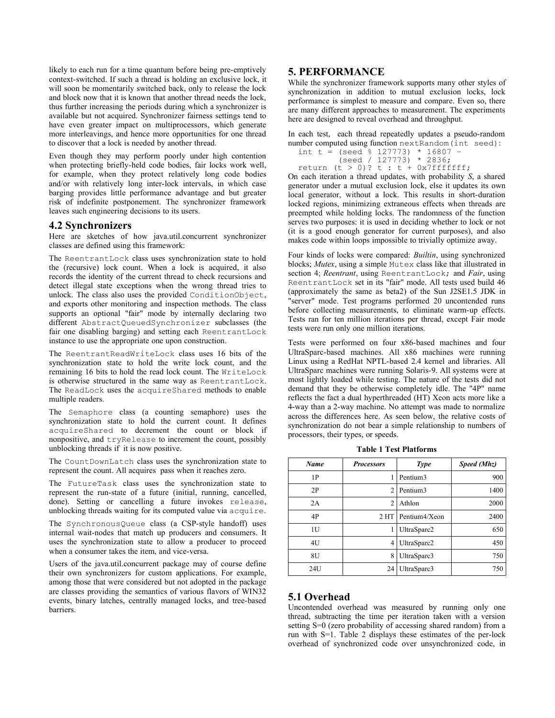likely to each run for a time quantum before being pre-emptively context-switched. If such a thread is holding an exclusive lock, it will soon be momentarily switched back, only to release the lock and block now that it is known that another thread needs the lock, thus further increasing the periods during which a synchronizer is available but not acquired. Synchronizer fairness settings tend to have even greater impact on multiprocessors, which generate more interleavings, and hence more opportunities for one thread to discover that a lock is needed by another thread.

Even though they may perform poorly under high contention when protecting briefly-held code bodies, fair locks work well, for example, when they protect relatively long code bodies and/or with relatively long inter-lock intervals, in which case barging provides little performance advantage and but greater risk of indefinite postponement. The synchronizer framework leaves such engineering decisions to its users.

#### **4.2 Synchronizers**

Here are sketches of how java.util.concurrent synchronizer classes are defined using this framework:

The ReentrantLock class uses synchronization state to hold the (recursive) lock count. When a lock is acquired, it also records the identity of the current thread to check recursions and detect illegal state exceptions when the wrong thread tries to unlock. The class also uses the provided ConditionObject, and exports other monitoring and inspection methods. The class supports an optional "fair" mode by internally declaring two different AbstractQueuedSynchronizer subclasses (the fair one disabling barging) and setting each ReentrantLock instance to use the appropriate one upon construction.

The ReentrantReadWriteLock class uses 16 bits of the synchronization state to hold the write lock count, and the remaining 16 bits to hold the read lock count. The WriteLock is otherwise structured in the same way as ReentrantLock. The ReadLock uses the acquireShared methods to enable multiple readers.

The Semaphore class (a counting semaphore) uses the synchronization state to hold the current count. It defines acquireShared to decrement the count or block if nonpositive, and tryRelease to increment the count, possibly unblocking threads if it is now positive.

The CountDownLatch class uses the synchronization state to represent the count. All acquires pass when it reaches zero.

The FutureTask class uses the synchronization state to represent the run-state of a future (initial, running, cancelled, done). Setting or cancelling a future invokes release, unblocking threads waiting for its computed value via acquire.

The SynchronousQueue class (a CSP-style handoff) uses internal wait-nodes that match up producers and consumers. It uses the synchronization state to allow a producer to proceed when a consumer takes the item, and vice-versa.

Users of the java.util.concurrent package may of course define their own synchronizers for custom applications. For example, among those that were considered but not adopted in the package are classes providing the semantics of various flavors of WIN32 events, binary latches, centrally managed locks, and tree-based barriers.

## **5. PERFORMANCE**

While the synchronizer framework supports many other styles of synchronization in addition to mutual exclusion locks, lock performance is simplest to measure and compare. Even so, there are many different approaches to measurement. The experiments here are designed to reveal overhead and throughput.

In each test, each thread repeatedly updates a pseudo-random number computed using function nextRandom(int seed):

int  $t = (seed \$  127773) \* 16807  $(\text{seed} / 127773) * 2836;$ return  $(t > 0)$ ? t : t + 0x7ffffffff;

On each iteration a thread updates, with probability *S*, a shared generator under a mutual exclusion lock, else it updates its own local generator, without a lock. This results in short-duration locked regions, minimizing extraneous effects when threads are preempted while holding locks. The randomness of the function serves two purposes: it is used in deciding whether to lock or not (it is a good enough generator for current purposes), and also makes code within loops impossible to trivially optimize away.

Four kinds of locks were compared: *Builtin*, using synchronized blocks; *Mutex*, using a simple Mutex class like that illustrated in section 4; *Reentrant*, using ReentrantLock; and *Fair*, using ReentrantLock set in its "fair" mode. All tests used build 46 (approximately the same as beta2) of the Sun J2SE1.5 JDK in "server" mode. Test programs performed 20 uncontended runs before collecting measurements, to eliminate warm-up effects. Tests ran for ten million iterations per thread, except Fair mode tests were run only one million iterations.

Tests were performed on four x86-based machines and four UltraSparc-based machines. All x86 machines were running Linux using a RedHat NPTL-based 2.4 kernel and libraries. All UltraSparc machines were running Solaris-9. All systems were at most lightly loaded while testing. The nature of the tests did not demand that they be otherwise completely idle. The "4P" name reflects the fact a dual hyperthreaded (HT) Xeon acts more like a 4-way than a 2-way machine. No attempt was made to normalize across the differences here. As seen below, the relative costs of synchronization do not bear a simple relationship to numbers of processors, their types, or speeds.

| Name | <b>Processors</b> | Type                 | Speed (Mhz) |
|------|-------------------|----------------------|-------------|
| 1P   |                   | Pentium <sub>3</sub> | 900         |
| 2P   | $\overline{c}$    | Pentium <sub>3</sub> | 1400        |
| 2A   | $\overline{c}$    | Athlon               | 2000        |
| 4P   | 2HT               | Pentium4/Xeon        | 2400        |
| 1U   |                   | UltraSparc2          | 650         |
| 4U   | 4                 | UltraSparc2          | 450         |
| 8U   | 8                 | UltraSparc3          | 750         |
| 24U  | 24                | UltraSparc3          | 750         |

**Table 1 Test Platforms**

## **5.1 Overhead**

Uncontended overhead was measured by running only one thread, subtracting the time per iteration taken with a version setting S=0 (zero probability of accessing shared random) from a run with S=1. Table 2 displays these estimates of the per-lock overhead of synchronized code over unsynchronized code, in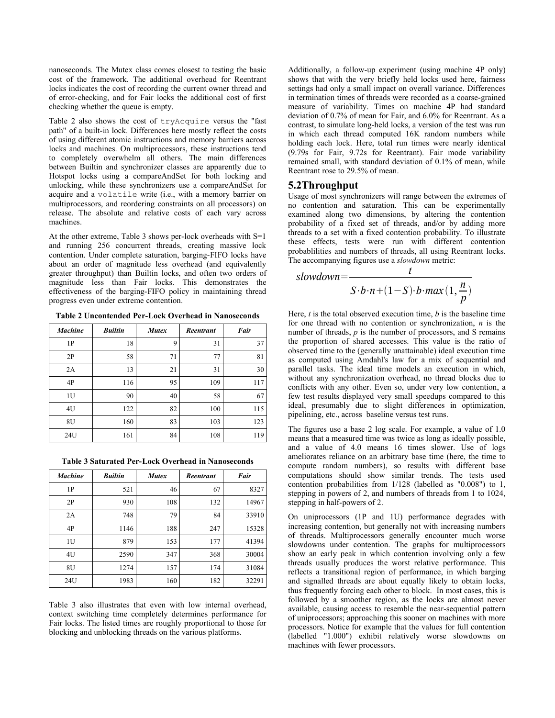nanoseconds. The Mutex class comes closest to testing the basic cost of the framework. The additional overhead for Reentrant locks indicates the cost of recording the current owner thread and of error-checking, and for Fair locks the additional cost of first checking whether the queue is empty.

Table 2 also shows the cost of tryAcquire versus the "fast path" of a built-in lock. Differences here mostly reflect the costs of using different atomic instructions and memory barriers across locks and machines. On multiprocessors, these instructions tend to completely overwhelm all others. The main differences between Builtin and synchronizer classes are apparently due to Hotspot locks using a compareAndSet for both locking and unlocking, while these synchronizers use a compareAndSet for acquire and a volatile write (i.e., with a memory barrier on multiprocessors, and reordering constraints on all processors) on release. The absolute and relative costs of each vary across machines.

At the other extreme, Table 3 shows per-lock overheads with S=1 and running 256 concurrent threads, creating massive lock contention. Under complete saturation, barging-FIFO locks have about an order of magnitude less overhead (and equivalently greater throughput) than Builtin locks, and often two orders of magnitude less than Fair locks. This demonstrates the effectiveness of the barging-FIFO policy in maintaining thread progress even under extreme contention.

| <b>Table 2 Uncontended Per-Lock Overhead in Nanoseconds</b> |                                  |                |                               |  |  |
|-------------------------------------------------------------|----------------------------------|----------------|-------------------------------|--|--|
| $\mathbf{M} = \mathbf{L}$                                   | $D_{\alpha\beta}H_{\alpha\beta}$ | $M_{\rm{max}}$ | $\mathbf{D}$ and $\mathbf{D}$ |  |  |

| <b>Machine</b> | <b>Builtin</b> | <b>Mutex</b> | Reentrant | Fair |
|----------------|----------------|--------------|-----------|------|
| 1P             | 18             | 9            | 31        | 37   |
| 2P             | 58             | 71           | 77        | 81   |
| 2A             | 13             | 21           | 31        | 30   |
| 4P             | 116            | 95           | 109       | 117  |
| 1U             | 90             | 40           | 58        | 67   |
| 4U             | 122            | 82           | 100       | 115  |
| 8U             | 160            | 83           | 103       | 123  |
| 24U            | 161            | 84           | 108       | 119  |

**Table 3 Saturated Per-Lock Overhead in Nanoseconds**

| <b>Machine</b> | <b>Builtin</b> | <b>Mutex</b> | <b>Reentrant</b> | Fair  |
|----------------|----------------|--------------|------------------|-------|
| 1P             | 521            | 46           | 67               | 8327  |
| 2P             | 930            | 108          | 132              | 14967 |
| 2A             | 748            | 79           | 84               | 33910 |
| 4P             | 1146           | 188          | 247              | 15328 |
| 1U             | 879            | 153          | 177              | 41394 |
| 4U             | 2590           | 347          | 368              | 30004 |
| 8U             | 1274           | 157          | 174              | 31084 |
| 24U            | 1983           | 160          | 182              | 32291 |

Table 3 also illustrates that even with low internal overhead, context switching time completely determines performance for Fair locks. The listed times are roughly proportional to those for blocking and unblocking threads on the various platforms.

Additionally, a follow-up experiment (using machine 4P only) shows that with the very briefly held locks used here, fairness settings had only a small impact on overall variance. Differences in termination times of threads were recorded as a coarse-grained measure of variability. Times on machine 4P had standard deviation of 0.7% of mean for Fair, and 6.0% for Reentrant. As a contrast, to simulate long-held locks, a version of the test was run in which each thread computed 16K random numbers while holding each lock. Here, total run times were nearly identical (9.79s for Fair, 9.72s for Reentrant). Fair mode variability remained small, with standard deviation of 0.1% of mean, while Reentrant rose to 29.5% of mean.

## **5.2Throughput**

Usage of most synchronizers will range between the extremes of no contention and saturation. This can be experimentally examined along two dimensions, by altering the contention probability of a fixed set of threads, and/or by adding more threads to a set with a fixed contention probability. To illustrate these effects, tests were run with different contention probablilities and numbers of threads, all using Reentrant locks. The accompanying figures use a *slowdown* metric:

$$
slowdown = \frac{t}{S \cdot b \cdot n + (1 - S) \cdot b \cdot max(1, \frac{n}{p})}
$$

Here, *t* is the total observed execution time, *b* is the baseline time for one thread with no contention or synchronization, *n* is the number of threads, *p* is the number of processors, and S remains the proportion of shared accesses. This value is the ratio of observed time to the (generally unattainable) ideal execution time as computed using Amdahl's law for a mix of sequential and parallel tasks. The ideal time models an execution in which, without any synchronization overhead, no thread blocks due to conflicts with any other. Even so, under very low contention, a few test results displayed very small speedups compared to this ideal, presumably due to slight differences in optimization, pipelining, etc., across baseline versus test runs.

The figures use a base 2 log scale. For example, a value of 1.0 means that a measured time was twice as long as ideally possible, and a value of 4.0 means 16 times slower. Use of logs ameliorates reliance on an arbitrary base time (here, the time to compute random numbers), so results with different base computations should show similar trends. The tests used contention probabilities from 1/128 (labelled as "0.008") to 1, stepping in powers of 2, and numbers of threads from 1 to 1024, stepping in half-powers of 2.

On uniprocessors (1P and 1U) performance degrades with increasing contention, but generally not with increasing numbers of threads. Multiprocessors generally encounter much worse slowdowns under contention. The graphs for multiprocessors show an early peak in which contention involving only a few threads usually produces the worst relative performance. This reflects a transitional region of performance, in which barging and signalled threads are about equally likely to obtain locks, thus frequently forcing each other to block. In most cases, this is followed by a smoother region, as the locks are almost never available, causing access to resemble the near-sequential pattern of uniprocessors; approaching this sooner on machines with more processors. Notice for example that the values for full contention (labelled "1.000") exhibit relatively worse slowdowns on machines with fewer processors.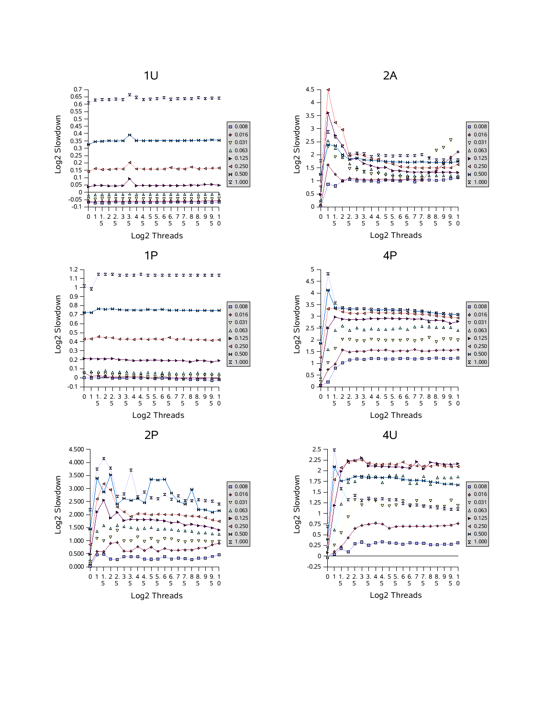

 $\Delta$  $\overline{\mathbf{v}}$ 

n.  $-0$ 

a.

 $X$  $X$ 

'n